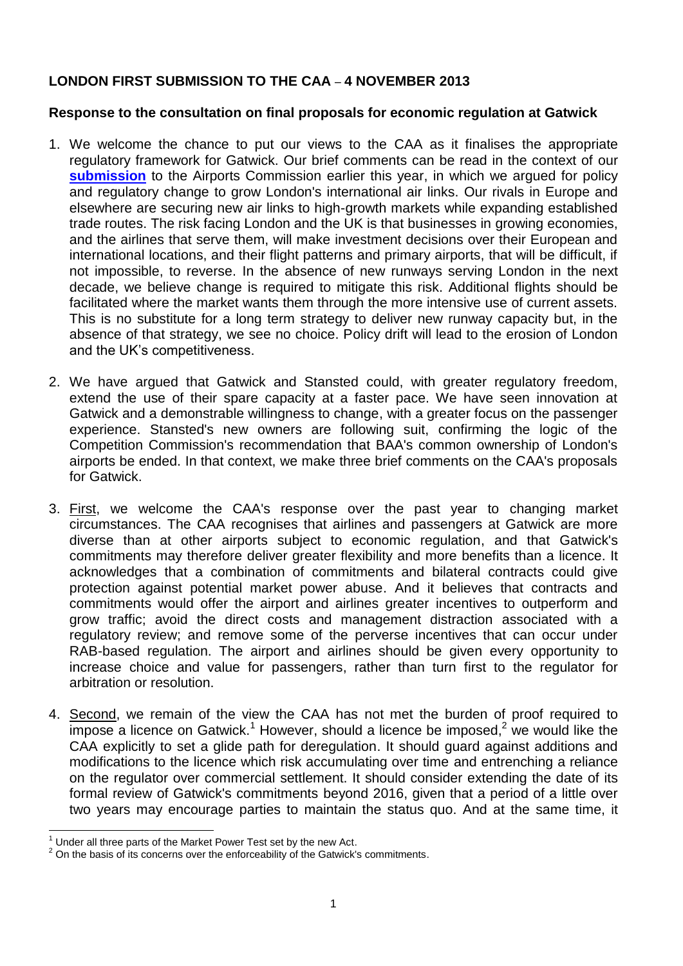## **LONDON FIRST SUBMISSION TO THE CAA** – **4 NOVEMBER 2013**

## **Response to the consultation on final proposals for economic regulation at Gatwick**

- 1. We welcome the chance to put our views to the CAA as it finalises the appropriate regulatory framework for Gatwick. Our brief comments can be read in the context of our **[submission](http://londonfirst.co.uk/wp-content/uploads/2013/10/London-First-submission-Airports-Commission-9-May-2013.pdf)** to the Airports Commission earlier this year, in which we argued for policy and regulatory change to grow London's international air links. Our rivals in Europe and elsewhere are securing new air links to high-growth markets while expanding established trade routes. The risk facing London and the UK is that businesses in growing economies, and the airlines that serve them, will make investment decisions over their European and international locations, and their flight patterns and primary airports, that will be difficult, if not impossible, to reverse. In the absence of new runways serving London in the next decade, we believe change is required to mitigate this risk. Additional flights should be facilitated where the market wants them through the more intensive use of current assets. This is no substitute for a long term strategy to deliver new runway capacity but, in the absence of that strategy, we see no choice. Policy drift will lead to the erosion of London and the UK's competitiveness.
- 2. We have argued that Gatwick and Stansted could, with greater regulatory freedom, extend the use of their spare capacity at a faster pace. We have seen innovation at Gatwick and a demonstrable willingness to change, with a greater focus on the passenger experience. Stansted's new owners are following suit, confirming the logic of the Competition Commission's recommendation that BAA's common ownership of London's airports be ended. In that context, we make three brief comments on the CAA's proposals for Gatwick.
- 3. First, we welcome the CAA's response over the past year to changing market circumstances. The CAA recognises that airlines and passengers at Gatwick are more diverse than at other airports subject to economic regulation, and that Gatwick's commitments may therefore deliver greater flexibility and more benefits than a licence. It acknowledges that a combination of commitments and bilateral contracts could give protection against potential market power abuse. And it believes that contracts and commitments would offer the airport and airlines greater incentives to outperform and grow traffic; avoid the direct costs and management distraction associated with a regulatory review; and remove some of the perverse incentives that can occur under RAB-based regulation. The airport and airlines should be given every opportunity to increase choice and value for passengers, rather than turn first to the regulator for arbitration or resolution.
- 4. Second, we remain of the view the CAA has not met the burden of proof required to  $\overline{\text{impose}}$  a licence on Gatwick.<sup>1</sup> However, should a licence be imposed,<sup>2</sup> we would like the CAA explicitly to set a glide path for deregulation. It should guard against additions and modifications to the licence which risk accumulating over time and entrenching a reliance on the regulator over commercial settlement. It should consider extending the date of its formal review of Gatwick's commitments beyond 2016, given that a period of a little over two years may encourage parties to maintain the status quo. And at the same time, it

 $\overline{\phantom{a}}$  $1$  Under all three parts of the Market Power Test set by the new Act.

 $2$  On the basis of its concerns over the enforceability of the Gatwick's commitments.